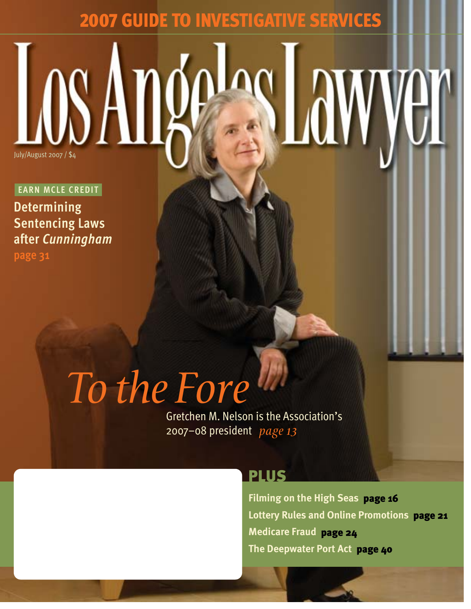# 2007 GUIDE TO INVESTIGATIVE SERVICES

 $J\Omega$ 

**EARN MCLE CREDIT Determining Sentencing Laws after** *Cunningham* **page 31**

# *To the Fore*

Gretchen M. Nelson is the Association's 2007–08 president *page 13*

### PLUS

**Filming on the High Seas** page 16 **Lottery Rules and Online Promotions** page 21 **Medicare Fraud** page 24 **The Deepwater Port Act** page 40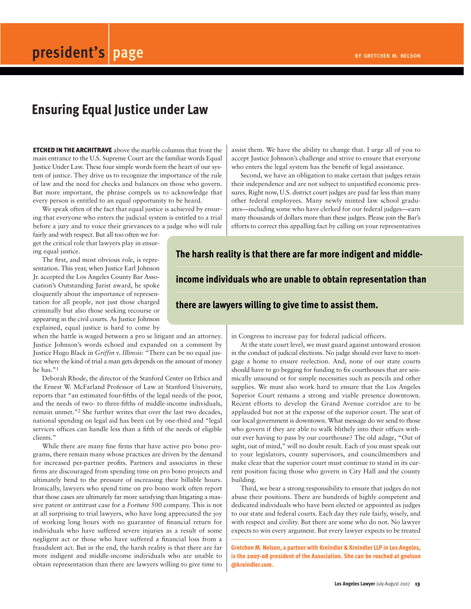## **Ensuring Equal Justice under Law**

ETCHED IN THE ARCHITRAVE above the marble columns that front the main entrance to the U.S. Supreme Court are the familiar words Equal Justice Under Law. These four simple words form the heart of our system of justice. They drive us to recognize the importance of the rule of law and the need for checks and balances on those who govern. But more important, the phrase compels us to acknowledge that every person is entitled to an equal opportunity to be heard.

We speak often of the fact that equal justice is achieved by ensuring that everyone who enters the judicial system is entitled to a trial before a jury and to voice their grievances to a judge who will rule

fairly and with respect. But all too often we forget the critical role that lawyers play in ensuring equal justice.

The first, and most obvious role, is representation. This year, when Justice Earl Johnson Jr. accepted the Los Angeles County Bar Association's Outstanding Jurist award, he spoke eloquently about the importance of representation for all people, not just those charged criminally but also those seeking recourse or appearing in the civil courts. As Justice Johnson explained, equal justice is hard to come by

when the battle is waged between a pro se litigant and an attorney. Justice Johnson's words echoed and expanded on a comment by Justice Hugo Black in *Griffin* v. *Illinois*: "There can be no equal justice where the kind of trial a man gets depends on the amount of money he has."1

Deborah Rhode, the director of the Stanford Center on Ethics and the Ernest W. McFarland Professor of Law at Stanford University, reports that "an estimated four-fifths of the legal needs of the poor, and the needs of two- to three-fifths of middle-income individuals, remain unmet."2 She further writes that over the last two decades, national spending on legal aid has been cut by one-third and "legal services offices can handle less than a fifth of the needs of eligible clients."

While there are many fine firms that have active pro bono programs, there remain many whose practices are driven by the demand for increased per-partner profits. Partners and associates in these firms are discouraged from spending time on pro bono projects and ultimately bend to the pressure of increasing their billable hours. Ironically, lawyers who spend time on pro bono work often report that those cases are ultimately far more satisfying than litigating a massive patent or antitrust case for a *Fortune* 500 company. This is not at all surprising to trial lawyers, who have long appreciated the joy of working long hours with no guarantee of financial return for individuals who have suffered severe injuries as a result of some negligent act or those who have suffered a financial loss from a fraudulent act. But in the end, the harsh reality is that there are far more indigent and middle-income individuals who are unable to obtain representation than there are lawyers willing to give time to

assist them. We have the ability to change that. I urge all of you to accept Justice Johnson's challenge and strive to ensure that everyone who enters the legal system has the benefit of legal assistance.

Second, we have an obligation to make certain that judges retain their independence and are not subject to unjustified economic pressures. Right now, U.S. district court judges are paid far less than many other federal employees. Many newly minted law school graduates—including some who have clerked for our federal judges—earn many thousands of dollars more than these judges. Please join the Bar's efforts to correct this appalling fact by calling on your representatives

#### **The harsh reality is that there are far more indigent and middle-**

**income individuals who are unable to obtain representation than**

#### **there are lawyers willing to give time to assist them.**

in Congress to increase pay for federal judicial officers.

At the state court level, we must guard against untoward erosion in the conduct of judicial elections. No judge should ever have to mortgage a home to ensure reelection. And, none of our state courts should have to go begging for funding to fix courthouses that are seismically unsound or for simple necessities such as pencils and other supplies. We must also work hard to ensure that the Los Angeles Superior Court remains a strong and viable presence downtown. Recent efforts to develop the Grand Avenue corridor are to be applauded but not at the expense of the superior court. The seat of our local government is downtown. What message do we send to those who govern if they are able to walk blithely into their offices without ever having to pass by our courthouse? The old adage, "Out of sight, out of mind," will no doubt result. Each of you must speak out to your legislators, county supervisors, and councilmembers and make clear that the superior court must continue to stand in its current position facing those who govern in City Hall and the county building.

Third, we bear a strong responsibility to ensure that judges do not abuse their positions. There are hundreds of highly competent and dedicated individuals who have been elected or appointed as judges to our state and federal courts. Each day they rule fairly, wisely, and with respect and civility. But there are some who do not. No lawyer expects to win every argument. But every lawyer expects to be treated

**Gretchen M. Nelson, a partner with Kreindler & Kreindler LLP in Los Angeles, is the 2007-08 president of the Association. She can be reached at gnelson @kreindler.com.**